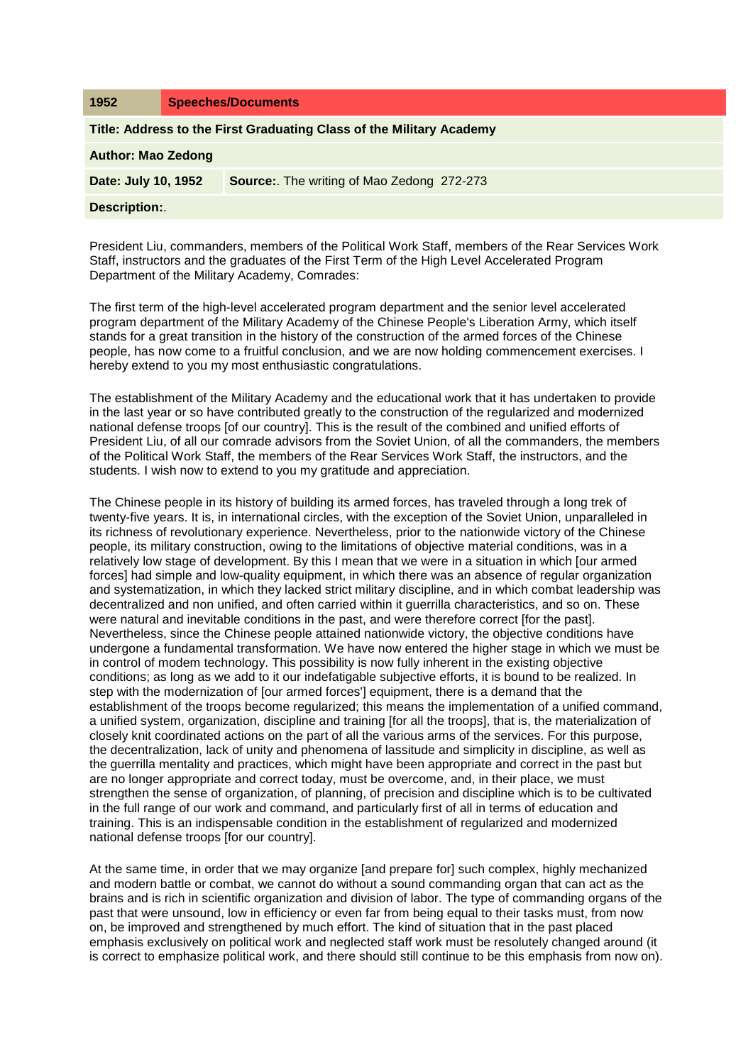| 1952                                                                 |  | <b>Speeches/Documents</b>                        |
|----------------------------------------------------------------------|--|--------------------------------------------------|
| Title: Address to the First Graduating Class of the Military Academy |  |                                                  |
| <b>Author: Mao Zedong</b>                                            |  |                                                  |
| Date: July 10, 1952                                                  |  | <b>Source:</b> The writing of Mao Zedong 272-273 |
| <b>Description:.</b>                                                 |  |                                                  |

President Liu, commanders, members of the Political Work Staff, members of the Rear Services Work Staff, instructors and the graduates of the First Term of the High Level Accelerated Program Department of the Military Academy, Comrades:

The first term of the high-level accelerated program department and the senior level accelerated program department of the Military Academy of the Chinese People's Liberation Army, which itself stands for a great transition in the history of the construction of the armed forces of the Chinese people, has now come to a fruitful conclusion, and we are now holding commencement exercises. I hereby extend to you my most enthusiastic congratulations.

The establishment of the Military Academy and the educational work that it has undertaken to provide in the last year or so have contributed greatly to the construction of the regularized and modernized national defense troops [of our country]. This is the result of the combined and unified efforts of President Liu, of all our comrade advisors from the Soviet Union, of all the commanders, the members of the Political Work Staff, the members of the Rear Services Work Staff, the instructors, and the students. I wish now to extend to you my gratitude and appreciation.

The Chinese people in its history of building its armed forces, has traveled through a long trek of twenty-five years. It is, in international circles, with the exception of the Soviet Union, unparalleled in its richness of revolutionary experience. Nevertheless, prior to the nationwide victory of the Chinese people, its military construction, owing to the limitations of objective material conditions, was in a relatively low stage of development. By this I mean that we were in a situation in which [our armed forces] had simple and low-quality equipment, in which there was an absence of regular organization and systematization, in which they lacked strict military discipline, and in which combat leadership was decentralized and non unified, and often carried within it guerrilla characteristics, and so on. These were natural and inevitable conditions in the past, and were therefore correct [for the past]. Nevertheless, since the Chinese people attained nationwide victory, the objective conditions have undergone a fundamental transformation. We have now entered the higher stage in which we must be in control of modem technology. This possibility is now fully inherent in the existing objective conditions; as long as we add to it our indefatigable subjective efforts, it is bound to be realized. In step with the modernization of [our armed forces'] equipment, there is a demand that the establishment of the troops become regularized; this means the implementation of a unified command, a unified system, organization, discipline and training [for all the troops], that is, the materialization of closely knit coordinated actions on the part of all the various arms of the services. For this purpose, the decentralization, lack of unity and phenomena of lassitude and simplicity in discipline, as well as the guerrilla mentality and practices, which might have been appropriate and correct in the past but are no longer appropriate and correct today, must be overcome, and, in their place, we must strengthen the sense of organization, of planning, of precision and discipline which is to be cultivated in the full range of our work and command, and particularly first of all in terms of education and training. This is an indispensable condition in the establishment of regularized and modernized national defense troops [for our country].

At the same time, in order that we may organize [and prepare for] such complex, highly mechanized and modern battle or combat, we cannot do without a sound commanding organ that can act as the brains and is rich in scientific organization and division of labor. The type of commanding organs of the past that were unsound, low in efficiency or even far from being equal to their tasks must, from now on, be improved and strengthened by much effort. The kind of situation that in the past placed emphasis exclusively on political work and neglected staff work must be resolutely changed around (it is correct to emphasize political work, and there should still continue to be this emphasis from now on).